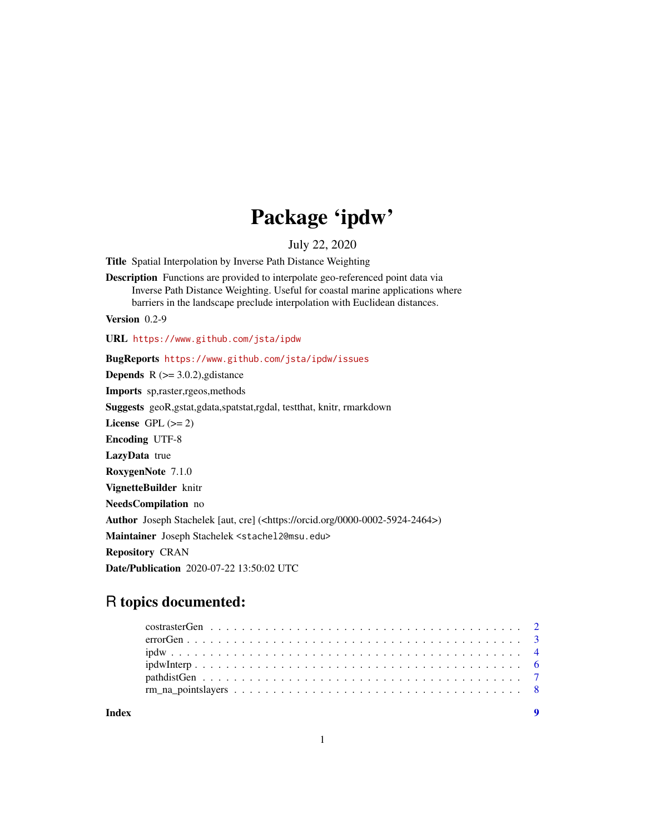## Package 'ipdw'

July 22, 2020

<span id="page-0-0"></span>Title Spatial Interpolation by Inverse Path Distance Weighting

Description Functions are provided to interpolate geo-referenced point data via Inverse Path Distance Weighting. Useful for coastal marine applications where barriers in the landscape preclude interpolation with Euclidean distances.

Version 0.2-9

URL <https://www.github.com/jsta/ipdw>

BugReports <https://www.github.com/jsta/ipdw/issues>

**Depends** R  $(>= 3.0.2)$ , gdistance

Imports sp,raster,rgeos,methods

Suggests geoR,gstat,gdata,spatstat,rgdal, testthat, knitr, rmarkdown

License GPL  $(>= 2)$ 

Encoding UTF-8

LazyData true

RoxygenNote 7.1.0

VignetteBuilder knitr

NeedsCompilation no

Author Joseph Stachelek [aut, cre] (<https://orcid.org/0000-0002-5924-2464>)

Maintainer Joseph Stachelek <stachel2@msu.edu>

Repository CRAN

Date/Publication 2020-07-22 13:50:02 UTC

### R topics documented:

| Index |  |
|-------|--|
|       |  |
|       |  |
|       |  |
|       |  |
|       |  |
|       |  |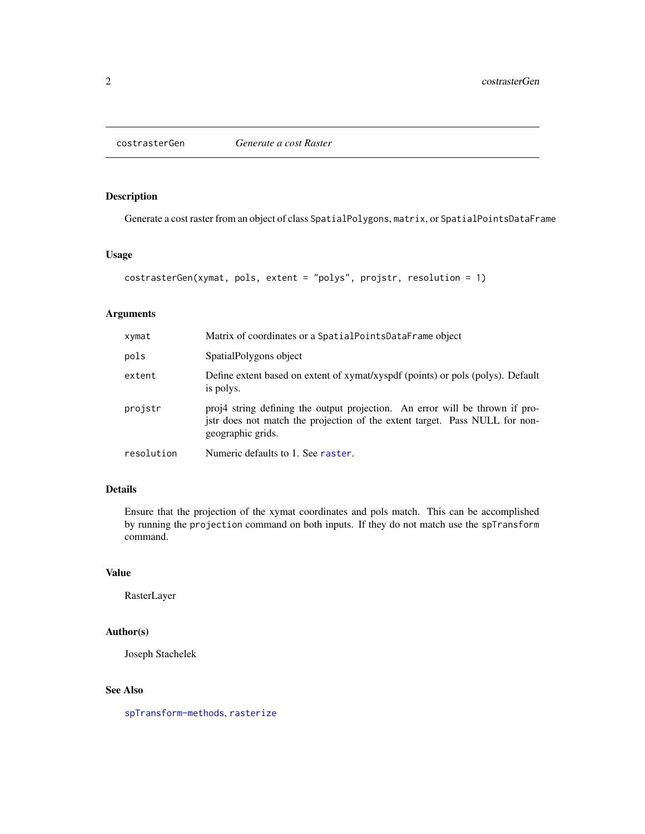<span id="page-1-0"></span>

#### Description

Generate a cost raster from an object of class SpatialPolygons, matrix, or SpatialPointsDataFrame

#### Usage

```
costrasterGen(xymat, pols, extent = "polys", projstr, resolution = 1)
```
#### Arguments

| xymat      | Matrix of coordinates or a SpatialPointsDataFrame object                                                                                                                         |
|------------|----------------------------------------------------------------------------------------------------------------------------------------------------------------------------------|
| pols       | SpatialPolygons object                                                                                                                                                           |
| extent     | Define extent based on extent of xymat/xyspdf (points) or pols (polys). Default<br>is polys.                                                                                     |
| projstr    | proj4 string defining the output projection. An error will be thrown if pro-<br>jstr does not match the projection of the extent target. Pass NULL for non-<br>geographic grids. |
| resolution | Numeric defaults to 1. See raster.                                                                                                                                               |

#### Details

Ensure that the projection of the xymat coordinates and pols match. This can be accomplished by running the projection command on both inputs. If they do not match use the spTransform command.

#### Value

RasterLayer

#### Author(s)

Joseph Stachelek

#### See Also

[spTransform-methods](#page-0-0), [rasterize](#page-0-0)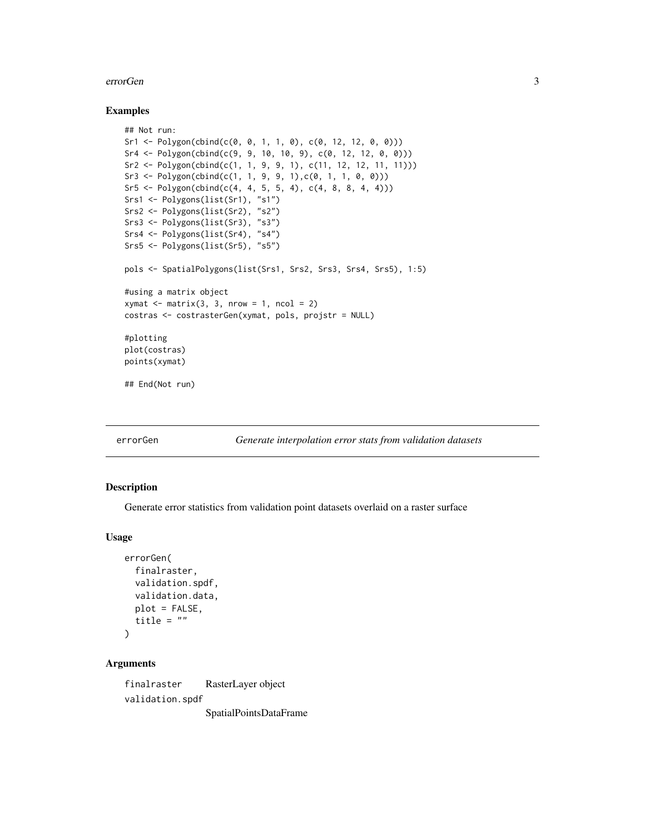#### <span id="page-2-0"></span>errorGen 33

#### Examples

```
## Not run:
Sr1 <- Polygon(cbind(c(0, 0, 1, 1, 0), c(0, 12, 12, 0, 0)))
Sr4 <- Polygon(cbind(c(9, 9, 10, 10, 9), c(0, 12, 12, 0, 0)))
Sr2 <- Polygon(cbind(c(1, 1, 9, 9, 1), c(11, 12, 12, 11, 11)))
Sr3 \leftarrow \text{Polygon}(\text{cbind}(c(1, 1, 9, 9, 1), c(0, 1, 1, 0, 0)))Sr5 \leq Polygon(cbind(c(4, 4, 5, 5, 4), c(4, 8, 8, 4, 4)))Srs1 <- Polygons(list(Sr1), "s1")
Srs2 <- Polygons(list(Sr2), "s2")
Srs3 <- Polygons(list(Sr3), "s3")
Srs4 <- Polygons(list(Sr4), "s4")
Srs5 <- Polygons(list(Sr5), "s5")
pols <- SpatialPolygons(list(Srs1, Srs2, Srs3, Srs4, Srs5), 1:5)
#using a matrix object
xy \text{mat} \leq -\text{matrix}(3, 3, \text{now} = 1, \text{ncol} = 2)costras <- costrasterGen(xymat, pols, projstr = NULL)
#plotting
plot(costras)
points(xymat)
## End(Not run)
```
errorGen *Generate interpolation error stats from validation datasets*

#### Description

Generate error statistics from validation point datasets overlaid on a raster surface

#### Usage

```
errorGen(
  finalraster,
  validation.spdf,
  validation.data,
 plot = FALSE,
  title = ")
```
#### Arguments

finalraster RasterLayer object validation.spdf SpatialPointsDataFrame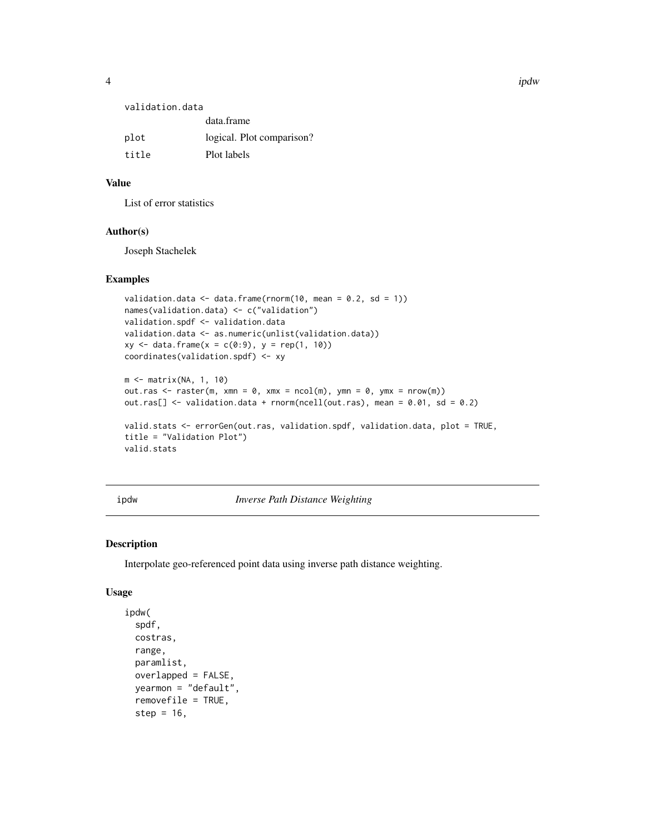<span id="page-3-0"></span>

| validation.data |                           |
|-----------------|---------------------------|
|                 | data.frame                |
| plot            | logical. Plot comparison? |

| Plot labels<br>title |
|----------------------|
|                      |

#### Value

List of error statistics

#### Author(s)

Joseph Stachelek

#### Examples

```
validation.data \leq data.frame(rnorm(10, mean = 0.2, sd = 1))
names(validation.data) <- c("validation")
validation.spdf <- validation.data
validation.data <- as.numeric(unlist(validation.data))
xy \leq - data.frame(x = c(0:9), y = rep(1, 10))
coordinates(validation.spdf) <- xy
m <- matrix(NA, 1, 10)
out.ras \leq raster(m, xmn = 0, xmx = ncol(m), ymn = 0, ymx = nrow(m))
out.ras[] \le validation.data + rnorm(ncell(out.ras), mean = 0.01, sd = 0.2)
```

```
valid.stats <- errorGen(out.ras, validation.spdf, validation.data, plot = TRUE,
title = "Validation Plot")
valid.stats
```
ipdw *Inverse Path Distance Weighting*

#### Description

Interpolate geo-referenced point data using inverse path distance weighting.

#### Usage

```
ipdw(
  spdf,
 costras,
  range,
 paramlist,
  overlapped = FALSE,
 yearmon = "default",
  removefile = TRUE,
  step = 16,
```
4 ipdw strategies and the strategies of the strategies of the strategies of the strategies of the strategies of the strategies of the strategies of the strategies of the strategies of the strategies of the strategies of th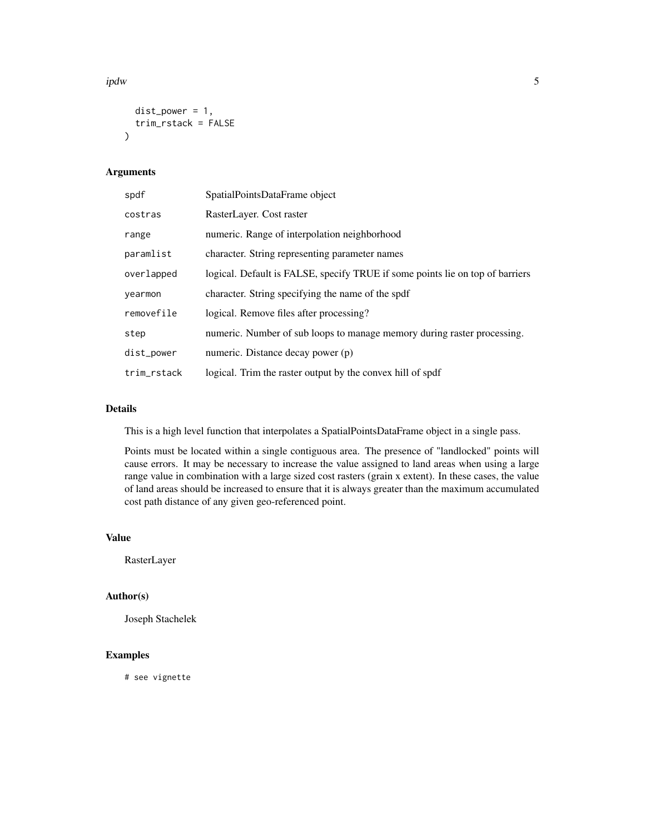ipdw 5

```
dist\_power = 1,
  trim_rstack = FALSE
\lambda
```
#### Arguments

| spdf        | SpatialPointsDataFrame object                                                 |
|-------------|-------------------------------------------------------------------------------|
| costras     | RasterLayer. Cost raster                                                      |
| range       | numeric. Range of interpolation neighborhood                                  |
| paramlist   | character. String representing parameter names                                |
| overlapped  | logical. Default is FALSE, specify TRUE if some points lie on top of barriers |
| yearmon     | character. String specifying the name of the spdf                             |
| removefile  | logical. Remove files after processing?                                       |
| step        | numeric. Number of sub loops to manage memory during raster processing.       |
| dist_power  | numeric. Distance decay power (p)                                             |
| trim_rstack | logical. Trim the raster output by the convex hill of spdf                    |

#### Details

This is a high level function that interpolates a SpatialPointsDataFrame object in a single pass.

Points must be located within a single contiguous area. The presence of "landlocked" points will cause errors. It may be necessary to increase the value assigned to land areas when using a large range value in combination with a large sized cost rasters (grain x extent). In these cases, the value of land areas should be increased to ensure that it is always greater than the maximum accumulated cost path distance of any given geo-referenced point.

#### Value

RasterLayer

#### Author(s)

Joseph Stachelek

#### Examples

# see vignette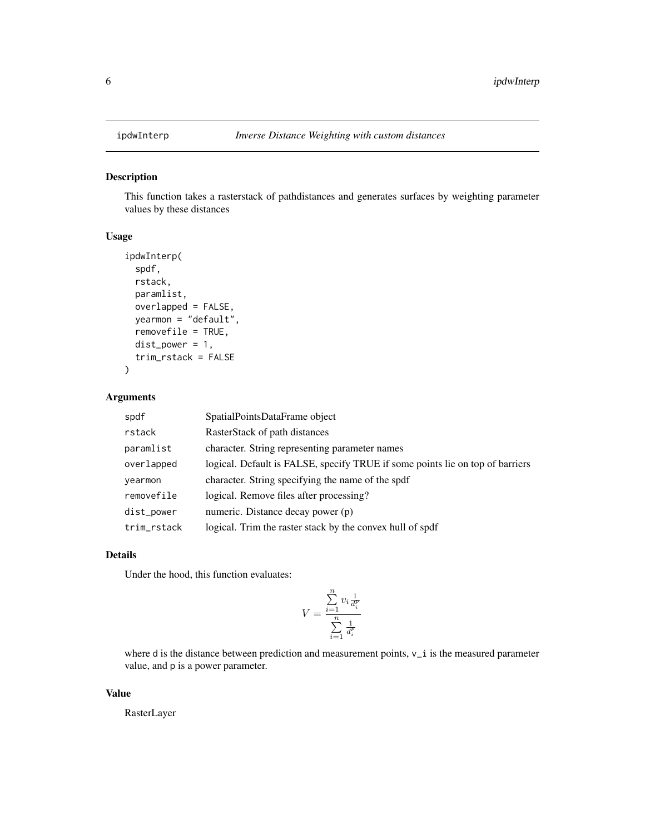<span id="page-5-0"></span>

#### Description

This function takes a rasterstack of pathdistances and generates surfaces by weighting parameter values by these distances

#### Usage

```
ipdwInterp(
  spdf,
  rstack,
  paramlist,
  overlapped = FALSE,
  yearmon = "default",
  removefile = TRUE,
  dist\_power = 1,
  trim_rstack = FALSE
)
```
#### Arguments

| spdf        | SpatialPointsDataFrame object                                                 |
|-------------|-------------------------------------------------------------------------------|
| rstack      | RasterStack of path distances                                                 |
| paramlist   | character. String representing parameter names                                |
| overlapped  | logical. Default is FALSE, specify TRUE if some points lie on top of barriers |
| yearmon     | character. String specifying the name of the spdf                             |
| removefile  | logical. Remove files after processing?                                       |
| dist_power  | numeric. Distance decay power (p)                                             |
| trim_rstack | logical. Trim the raster stack by the convex hull of spdf                     |

#### Details

Under the hood, this function evaluates:

$$
V = \frac{\sum\limits_{i=1}^n v_i \frac{1}{d_i^p}}{\sum\limits_{i=1}^n \frac{1}{d_i^p}}
$$

where d is the distance between prediction and measurement points,  $v_i$  is the measured parameter value, and p is a power parameter.

#### Value

RasterLayer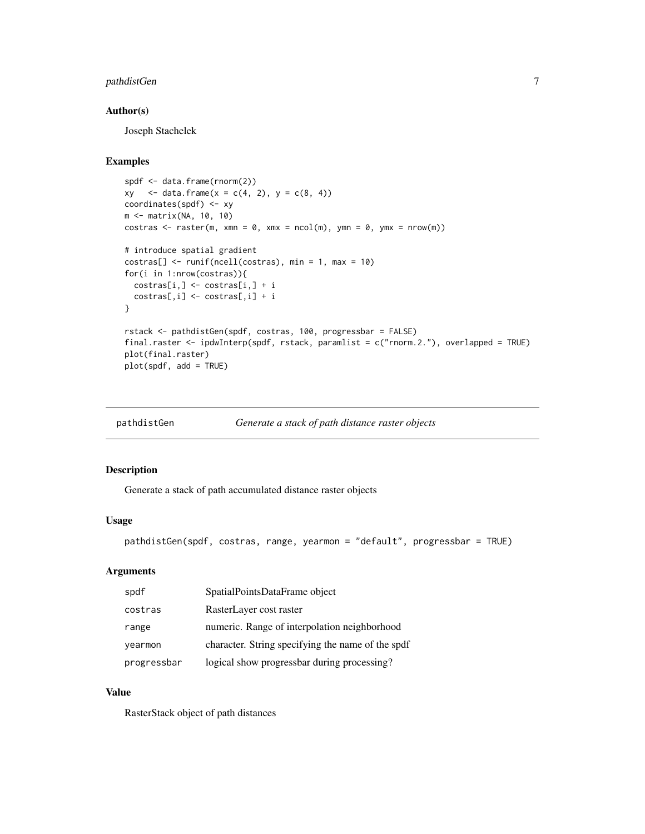#### <span id="page-6-0"></span>pathdistGen 7

#### Author(s)

Joseph Stachelek

#### Examples

```
spdf <- data.frame(rnorm(2))
xy \le - \text{data-frame}(x = c(4, 2), y = c(8, 4))coordinates(spdf) <- xy
m <- matrix(NA, 10, 10)
costras <- raster(m, xmn = 0, xmx = ncol(m), ymn = 0, ymx = nrow(m))
# introduce spatial gradient
costras[] <- runif(ncell(costras), min = 1, max = 10)
for(i in 1:nrow(costras)){
  costras[i,] <- costras[i,] + i
 costras[,i] <- costras[,i] + i
}
rstack <- pathdistGen(spdf, costras, 100, progressbar = FALSE)
final.raster <- ipdwInterp(spdf, rstack, paramlist = c("rnorm.2."), overlapped = TRUE)
plot(final.raster)
plot(spdf, add = TRUE)
```

| pathdistGen | Generate a stack of path distance raster objects |  |
|-------------|--------------------------------------------------|--|
|             |                                                  |  |

#### Description

Generate a stack of path accumulated distance raster objects

#### Usage

pathdistGen(spdf, costras, range, yearmon = "default", progressbar = TRUE)

#### Arguments

| spdf        | SpatialPointsDataFrame object                     |
|-------------|---------------------------------------------------|
| costras     | RasterLayer cost raster                           |
| range       | numeric. Range of interpolation neighborhood      |
| yearmon     | character. String specifying the name of the spdf |
| progressbar | logical show progressbar during processing?       |

#### Value

RasterStack object of path distances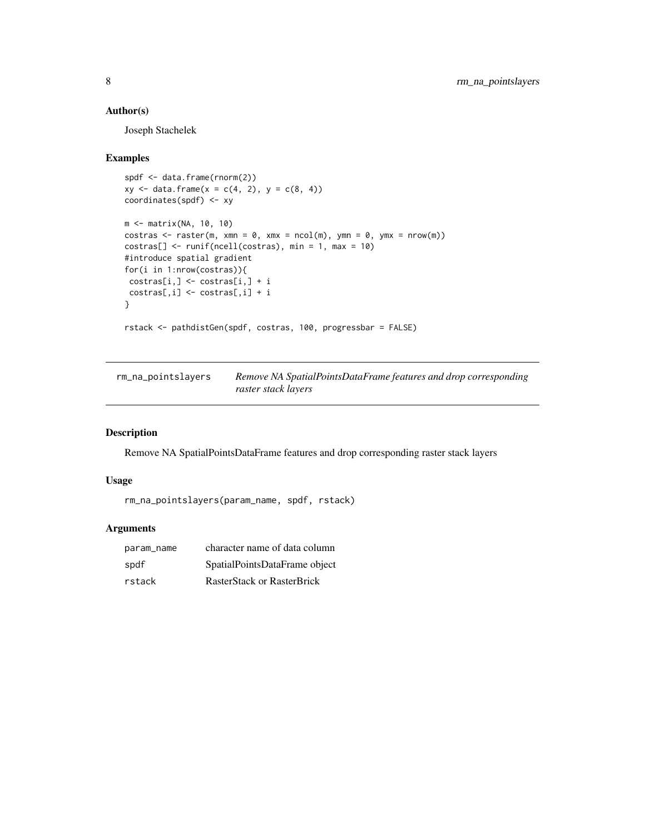#### <span id="page-7-0"></span>Author(s)

Joseph Stachelek

#### Examples

```
spdf <- data.frame(rnorm(2))
xy \leq -\text{data-frame}(x = c(4, 2), y = c(8, 4))coordinates(spdf) <- xy
m <- matrix(NA, 10, 10)
costras <- raster(m, xmn = 0, xmx = ncol(m), ymn = 0, ymx = nrow(m))
costras[] \leftarrow runif(ncell(costras), min = 1, max = 10)#introduce spatial gradient
for(i in 1:nrow(costras)){
costras[i,] <- costras[i,] + i
costras[,i] <- costras[,i] + i
}
rstack <- pathdistGen(spdf, costras, 100, progressbar = FALSE)
```
rm\_na\_pointslayers *Remove NA SpatialPointsDataFrame features and drop corresponding raster stack layers*

#### Description

Remove NA SpatialPointsDataFrame features and drop corresponding raster stack layers

#### Usage

```
rm_na_pointslayers(param_name, spdf, rstack)
```
#### Arguments

| param_name | character name of data column |
|------------|-------------------------------|
| spdf       | SpatialPointsDataFrame object |
| rstack     | RasterStack or RasterBrick    |